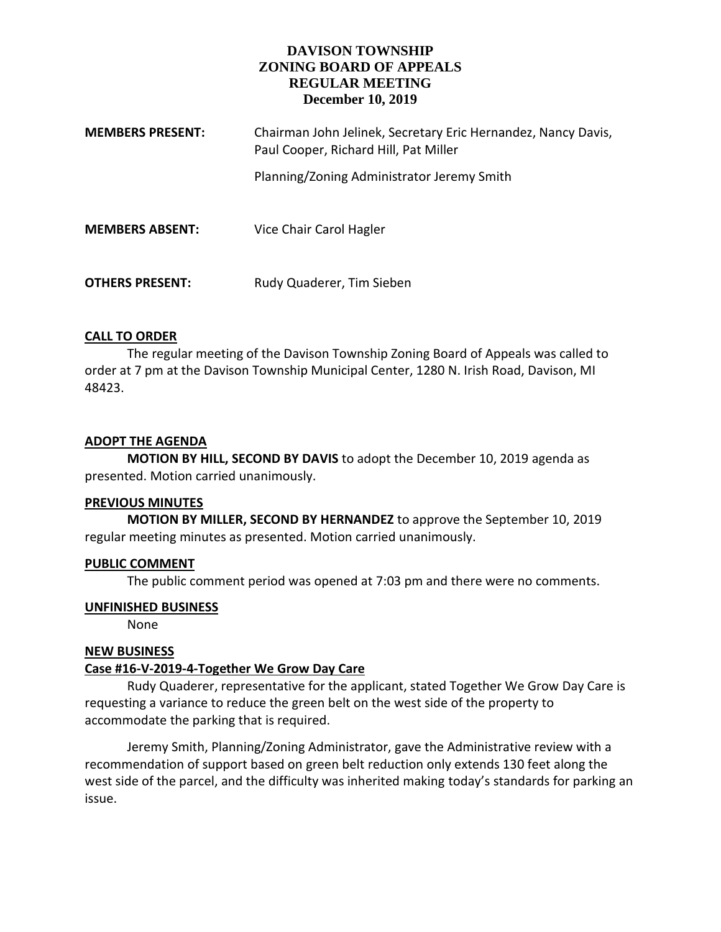# **DAVISON TOWNSHIP ZONING BOARD OF APPEALS REGULAR MEETING December 10, 2019**

| <b>MEMBERS PRESENT:</b> | Chairman John Jelinek, Secretary Eric Hernandez, Nancy Davis,<br>Paul Cooper, Richard Hill, Pat Miller |
|-------------------------|--------------------------------------------------------------------------------------------------------|
|                         | Planning/Zoning Administrator Jeremy Smith                                                             |
| <b>MEMBERS ABSENT:</b>  | Vice Chair Carol Hagler                                                                                |
| <b>OTHERS PRESENT:</b>  | Rudy Quaderer, Tim Sieben                                                                              |

### **CALL TO ORDER**

The regular meeting of the Davison Township Zoning Board of Appeals was called to order at 7 pm at the Davison Township Municipal Center, 1280 N. Irish Road, Davison, MI 48423.

### **ADOPT THE AGENDA**

**MOTION BY HILL, SECOND BY DAVIS** to adopt the December 10, 2019 agenda as presented. Motion carried unanimously.

### **PREVIOUS MINUTES**

**MOTION BY MILLER, SECOND BY HERNANDEZ** to approve the September 10, 2019 regular meeting minutes as presented. Motion carried unanimously.

### **PUBLIC COMMENT**

The public comment period was opened at 7:03 pm and there were no comments.

### **UNFINISHED BUSINESS**

None

### **NEW BUSINESS**

### **Case #16-V-2019-4-Together We Grow Day Care**

Rudy Quaderer, representative for the applicant, stated Together We Grow Day Care is requesting a variance to reduce the green belt on the west side of the property to accommodate the parking that is required.

Jeremy Smith, Planning/Zoning Administrator, gave the Administrative review with a recommendation of support based on green belt reduction only extends 130 feet along the west side of the parcel, and the difficulty was inherited making today's standards for parking an issue.